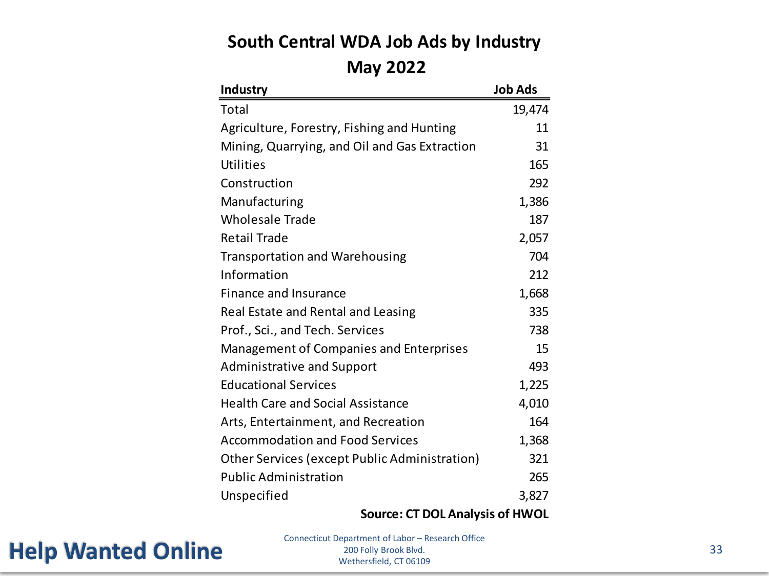#### **South Central WDA Job Ads by Industry May 2022**

| <b>Industry</b>                               | <b>Job Ads</b> |
|-----------------------------------------------|----------------|
| Total                                         | 19,474         |
| Agriculture, Forestry, Fishing and Hunting    | 11             |
| Mining, Quarrying, and Oil and Gas Extraction | 31             |
| Utilities                                     | 165            |
| Construction                                  | 292            |
| Manufacturing                                 | 1,386          |
| <b>Wholesale Trade</b>                        | 187            |
| <b>Retail Trade</b>                           | 2,057          |
| <b>Transportation and Warehousing</b>         | 704            |
| Information                                   | 212            |
| Finance and Insurance                         | 1,668          |
| Real Estate and Rental and Leasing            | 335            |
| Prof., Sci., and Tech. Services               | 738            |
| Management of Companies and Enterprises       | 15             |
| <b>Administrative and Support</b>             | 493            |
| <b>Educational Services</b>                   | 1,225          |
| <b>Health Care and Social Assistance</b>      | 4,010          |
| Arts, Entertainment, and Recreation           | 164            |
| <b>Accommodation and Food Services</b>        | 1,368          |
| Other Services (except Public Administration) | 321            |
| <b>Public Administration</b>                  | 265            |
| Unspecified                                   | 3,827          |

**Source: CT DOL Analysis of HWOL**

#### **Help Wanted Online** Connecticut Department of Labor – Re

Connecticut Department of Labor – Research Office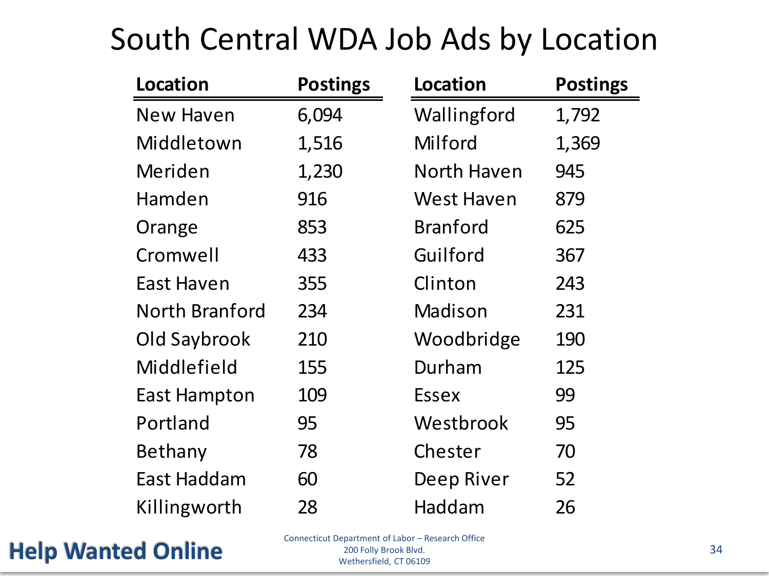### South Central WDA Job Ads by Location

| <b>Location</b>       | <b>Postings</b> | <b>Location</b>   | <b>Postings</b> |
|-----------------------|-----------------|-------------------|-----------------|
| <b>New Haven</b>      | 6,094           | Wallingford       | 1,792           |
| Middletown            | 1,516           | Milford           | 1,369           |
| Meriden               | 1,230           | North Haven       | 945             |
| Hamden                | 916             | <b>West Haven</b> | 879             |
| Orange                | 853             | <b>Branford</b>   | 625             |
| Cromwell              | 433             | Guilford          | 367             |
| East Haven            | 355             | Clinton           | 243             |
| <b>North Branford</b> | 234             | Madison           | 231             |
| Old Saybrook          | 210             | Woodbridge        | 190             |
| Middlefield           | 155             | Durham            | 125             |
| <b>East Hampton</b>   | 109             | <b>Essex</b>      | 99              |
| Portland              | 95              | Westbrook         | 95              |
| Bethany               | 78              | Chester           | 70              |
| East Haddam           | 60              | Deep River        | 52              |
| Killingworth          | 28              | Haddam            | 26              |

Help Wanted Online **Separated CLEANS Specifical CLEANS Structure 34** 

Connecticut Department of Labor – Research Office 200 Folly Brook Blvd. Wethersfield, CT 06109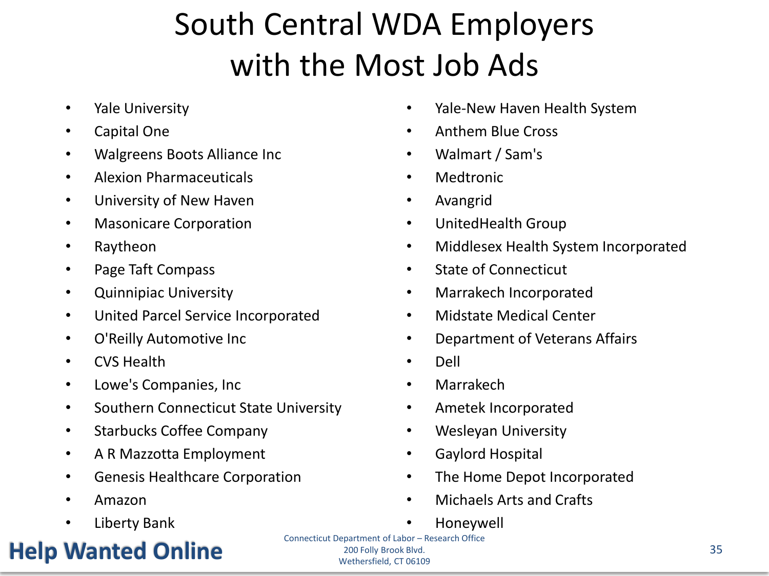# South Central WDA Employers with the Most Job Ads

- Yale University
- Capital One
- Walgreens Boots Alliance Inc
- Alexion Pharmaceuticals
- University of New Haven
- Masonicare Corporation
- Raytheon
- Page Taft Compass
- Quinnipiac University
- United Parcel Service Incorporated
- O'Reilly Automotive Inc
- CVS Health
- Lowe's Companies, Inc
- Southern Connecticut State University
- Starbucks Coffee Company
- A R Mazzotta Employment
- Genesis Healthcare Corporation
- Amazon
- Liberty Bank

### Help Wanted Online 2005 For the Concentration of Excess concentration and the concentration of the Concentration of the Concentration of the Concentration of the Concentration of the Concentration of the Concentration of t

- Yale-New Haven Health System
- Anthem Blue Cross
- Walmart / Sam's
- Medtronic
- Avangrid
- UnitedHealth Group
- Middlesex Health System Incorporated
- State of Connecticut
- Marrakech Incorporated
- Midstate Medical Center
- Department of Veterans Affairs
- Dell
- Marrakech
- Ametek Incorporated
- Wesleyan University
- Gaylord Hospital
- The Home Depot Incorporated
- Michaels Arts and Crafts
- Honeywell

Connecticut Department of Labor – Research Office 200 Folly Brook Blvd. Wethersfield, CT 06109